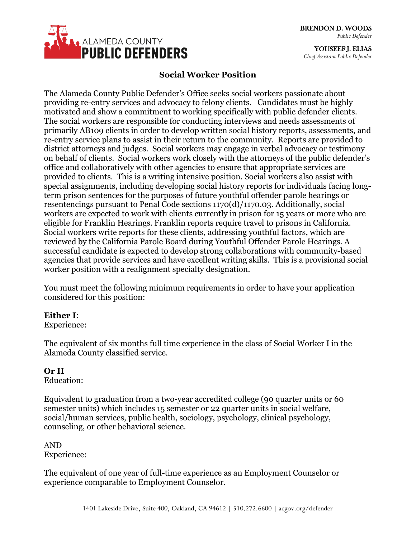

YOUSEEF J. ELIAS *Chief Assistant Public Defender*

# **Social Worker Position**

The Alameda County Public Defender's Office seeks social workers passionate about providing re-entry services and advocacy to felony clients. Candidates must be highly motivated and show a commitment to working specifically with public defender clients. The social workers are responsible for conducting interviews and needs assessments of primarily AB109 clients in order to develop written social history reports, assessments, and re-entry service plans to assist in their return to the community. Reports are provided to district attorneys and judges. Social workers may engage in verbal advocacy or testimony on behalf of clients. Social workers work closely with the attorneys of the public defender's office and collaboratively with other agencies to ensure that appropriate services are provided to clients. This is a writing intensive position. Social workers also assist with special assignments, including developing social history reports for individuals facing longterm prison sentences for the purposes of future youthful offender parole hearings or resentencings pursuant to Penal Code sections 1170(d)/1170.03. Additionally, social workers are expected to work with clients currently in prison for 15 years or more who are eligible for Franklin Hearings. Franklin reports require travel to prisons in California. Social workers write reports for these clients, addressing youthful factors, which are reviewed by the California Parole Board during Youthful Offender Parole Hearings. A successful candidate is expected to develop strong collaborations with community-based agencies that provide services and have excellent writing skills. This is a provisional social worker position with a realignment specialty designation.

You must meet the following minimum requirements in order to have your application considered for this position:

#### **Either I**:

Experience:

The equivalent of six months full time experience in the class of Social Worker I in the Alameda County classified service.

### **Or II**

Education:

Equivalent to graduation from a two-year accredited college (90 quarter units or 60 semester units) which includes 15 semester or 22 quarter units in social welfare, social/human services, public health, sociology, psychology, clinical psychology, counseling, or other behavioral science.

AND Experience:

The equivalent of one year of full-time experience as an Employment Counselor or experience comparable to Employment Counselor.